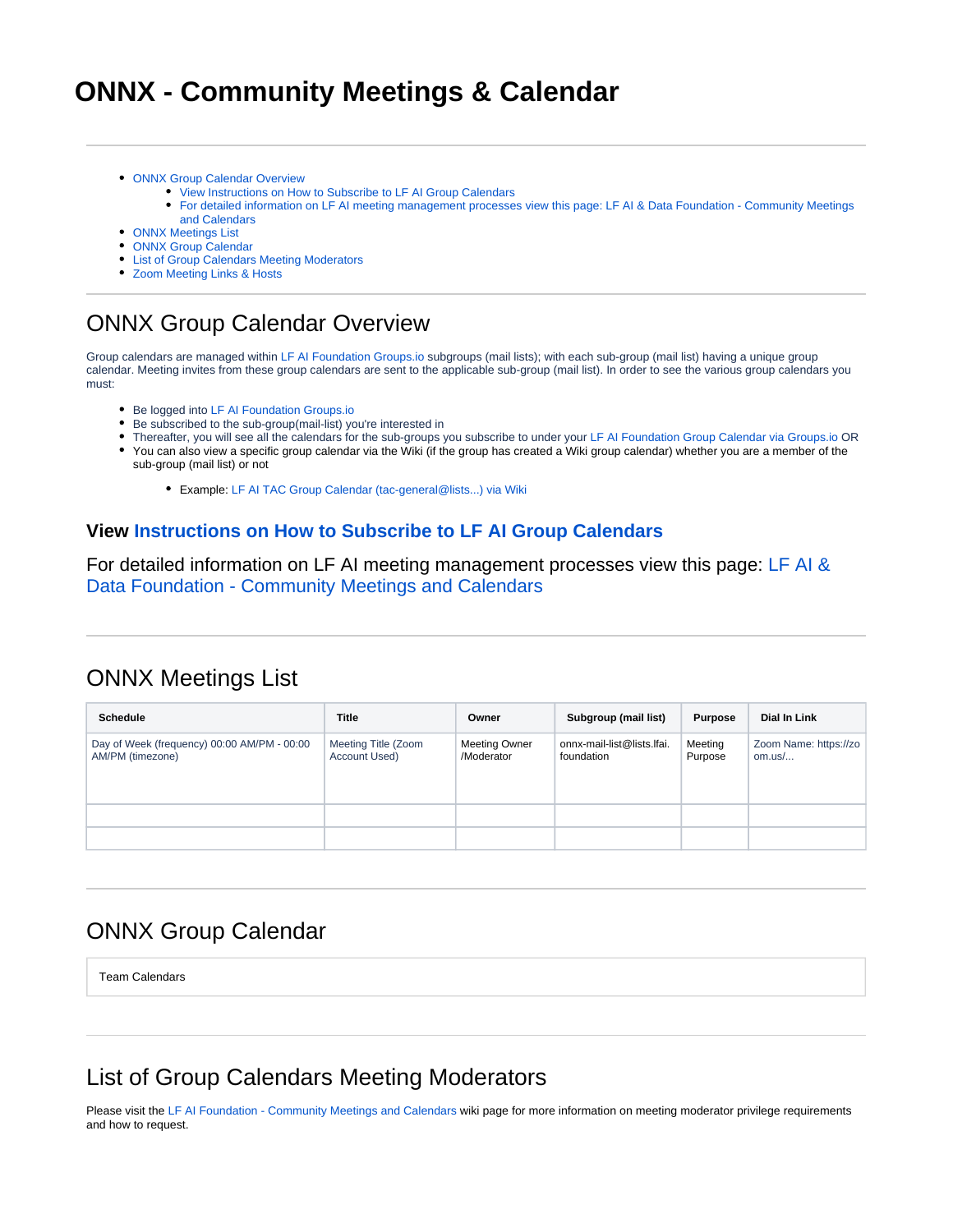# **ONNX - Community Meetings & Calendar**

- [ONNX Group Calendar Overview](#page-0-0)
	- [View Instructions on How to Subscribe to LF AI Group Calendars](#page-0-1)
		- [For detailed information on LF AI meeting management processes view this page: LF AI & Data Foundation Community Meetings](#page-0-2)  [and Calendars](#page-0-2)
- [ONNX Meetings List](#page-0-3)
- [ONNX Group Calendar](#page-0-4)
- **[List of Group Calendars Meeting Moderators](#page-0-5)**
- [Zoom Meeting Links & Hosts](#page-1-0)

### <span id="page-0-0"></span>ONNX Group Calendar Overview

Group calendars are managed within [LF AI Foundation Groups.io](https://lists.lfai.foundation/groups) subgroups (mail lists); with each sub-group (mail list) having a unique group calendar. Meeting invites from these group calendars are sent to the applicable sub-group (mail list). In order to see the various group calendars you must:

- Be logged into [LF AI Foundation Groups.io](https://lists.lfai.foundation/groups)
- Be subscribed to the sub-group(mail-list) you're interested in
- Thereafter, you will see all the calendars for the sub-groups you subscribe to under your [LF AI Foundation Group Calendar via Groups.io](https://lists.lfai.foundation/calendar) OR
- You can also view a specific group calendar via the Wiki (if the group has created a Wiki group calendar) whether you are a member of the sub-group (mail list) or not
	- Example: [LF AI TAC Group Calendar \(tac-general@lists...\) via Wiki](https://wiki.lfai.foundation/pages/viewpage.action?pageId=7733361)

#### <span id="page-0-1"></span>**View [Instructions on How to Subscribe to LF AI Group Calendars](https://wiki.lfaidata.foundation/pages/viewpage.action?pageId=12091872)**

<span id="page-0-2"></span>For detailed information on LF AI meeting management processes view this page: [LF AI &](https://wiki.lfaidata.foundation/pages/viewpage.action?pageId=12091872)  [Data Foundation - Community Meetings and Calendars](https://wiki.lfaidata.foundation/pages/viewpage.action?pageId=12091872)

### <span id="page-0-3"></span>ONNX Meetings List

| <b>Schedule</b>                                                 | <b>Title</b>                         | Owner                              | Subgroup (mail list)                     | <b>Purpose</b>     | Dial In Link                      |
|-----------------------------------------------------------------|--------------------------------------|------------------------------------|------------------------------------------|--------------------|-----------------------------------|
| Day of Week (frequency) 00:00 AM/PM - 00:00<br>AM/PM (timezone) | Meeting Title (Zoom<br>Account Used) | <b>Meeting Owner</b><br>/Moderator | onnx-mail-list@lists.lfai.<br>foundation | Meeting<br>Purpose | Zoom Name: https://zo  <br>om.us/ |
|                                                                 |                                      |                                    |                                          |                    |                                   |
|                                                                 |                                      |                                    |                                          |                    |                                   |

### <span id="page-0-4"></span>ONNX Group Calendar

Team Calendars

### <span id="page-0-5"></span>List of Group Calendars Meeting Moderators

Please visit the [LF AI Foundation - Community Meetings and Calendars](https://wiki.lfai.foundation/display/DL/LF+AI+Foundation+-+Community+Meetings+and+Calendars#LFAIFoundation-CommunityMeetingsandCalendars-Scheduling/ManagingMeetingsinGroupCalendars) wiki page for more information on meeting moderator privilege requirements and how to request.